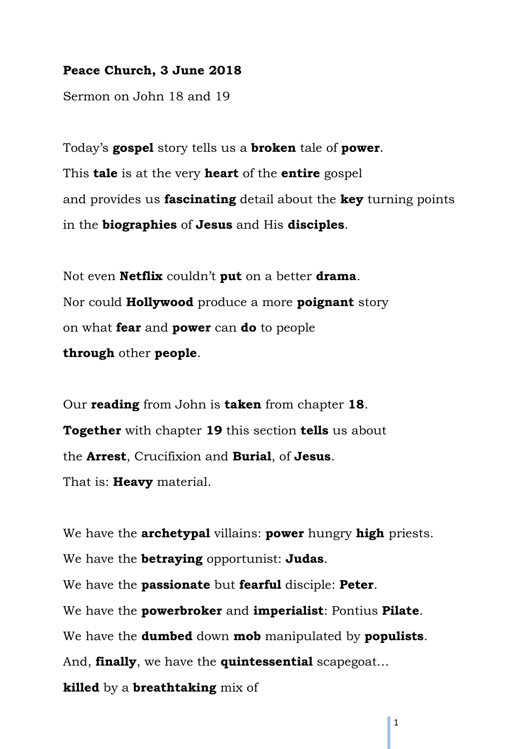### **Peace Church, 3 June 2018**

Sermon on John 18 and 19

Today's **gospel** story tells us a **broken** tale of **power**. This **tale** is at the very **heart** of the **entire** gospel and provides us **fascinating** detail about the **key** turning points in the **biographies** of **Jesus** and His **disciples**.

Not even **Netflix** couldn't **put** on a better **drama**. Nor could **Hollywood** produce a more **poignant** story on what **fear** and **power** can **do** to people **through** other **people**.

Our **reading** from John is **taken** from chapter **18**. **Together** with chapter **19** this section **tells** us about the **Arrest**, Crucifixion and **Burial**, of **Jesus**. That is: **Heavy** material.

We have the **archetypal** villains: **power** hungry **high** priests. We have the **betraying** opportunist: **Judas**. We have the **passionate** but **fearful** disciple: **Peter**. We have the **powerbroker** and **imperialist**: Pontius **Pilate**. We have the **dumbed** down **mob** manipulated by **populists**. And, **finally**, we have the **quintessential** scapegoat… **killed** by a **breathtaking** mix of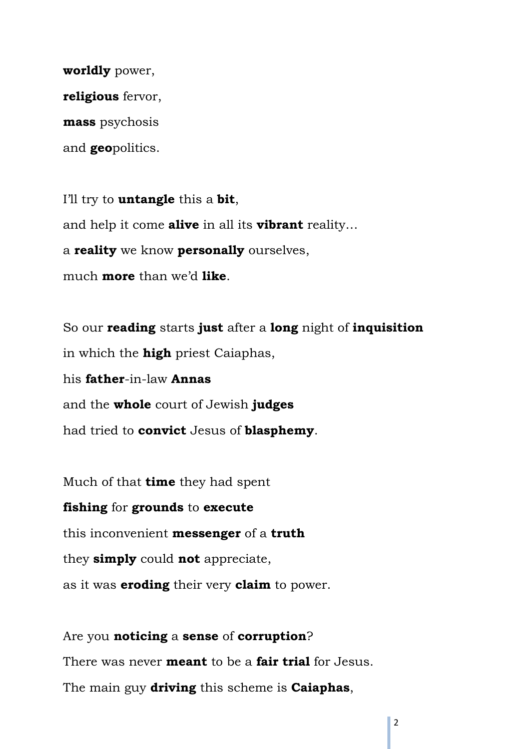**worldly** power, **religious** fervor, **mass** psychosis and **geo**politics.

I'll try to **untangle** this a **bit**, and help it come **alive** in all its **vibrant** reality… a **reality** we know **personally** ourselves, much **more** than we'd **like**.

So our **reading** starts **just** after a **long** night of **inquisition** in which the **high** priest Caiaphas, his **father**-in-law **Annas** and the **whole** court of Jewish **judges** had tried to **convict** Jesus of **blasphemy**.

Much of that **time** they had spent **fishing** for **grounds** to **execute** this inconvenient **messenger** of a **truth** they **simply** could **not** appreciate, as it was **eroding** their very **claim** to power.

Are you **noticing** a **sense** of **corruption**? There was never **meant** to be a **fair trial** for Jesus. The main guy **driving** this scheme is **Caiaphas**,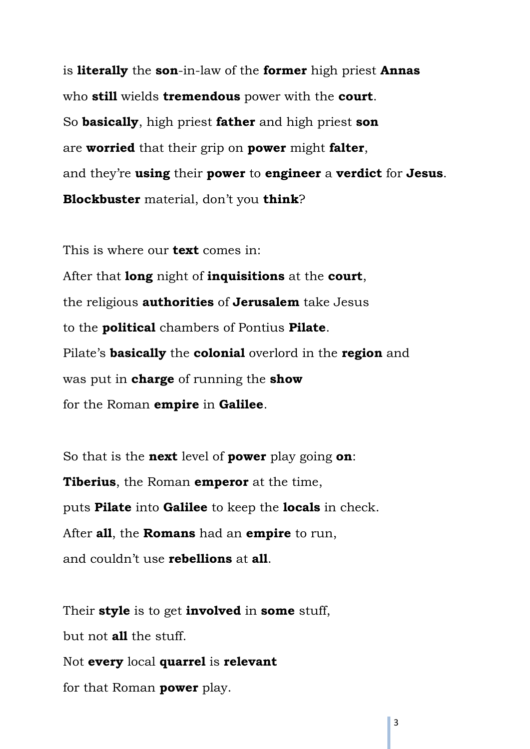is **literally** the **son**-in-law of the **former** high priest **Annas** who **still** wields **tremendous** power with the **court**. So **basically**, high priest **father** and high priest **son** are **worried** that their grip on **power** might **falter**, and they're **using** their **power** to **engineer** a **verdict** for **Jesus**. **Blockbuster** material, don't you **think**?

This is where our **text** comes in: After that **long** night of **inquisitions** at the **court**, the religious **authorities** of **Jerusalem** take Jesus to the **political** chambers of Pontius **Pilate**. Pilate's **basically** the **colonial** overlord in the **region** and was put in **charge** of running the **show** for the Roman **empire** in **Galilee**.

So that is the **next** level of **power** play going **on**: **Tiberius**, the Roman **emperor** at the time, puts **Pilate** into **Galilee** to keep the **locals** in check. After **all**, the **Romans** had an **empire** to run, and couldn't use **rebellions** at **all**.

Their **style** is to get **involved** in **some** stuff, but not **all** the stuff. Not **every** local **quarrel** is **relevant** for that Roman **power** play.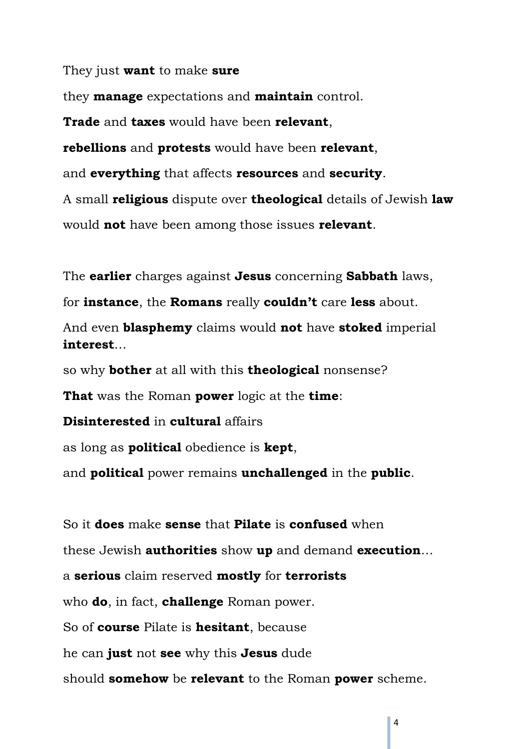They just **want** to make **sure**

they **manage** expectations and **maintain** control. **Trade** and **taxes** would have been **relevant**, **rebellions** and **protests** would have been **relevant**, and **everything** that affects **resources** and **security**. A small **religious** dispute over **theological** details of Jewish **law** would **not** have been among those issues **relevant**.

The **earlier** charges against **Jesus** concerning **Sabbath** laws,

for **instance**, the **Romans** really **couldn't** care **less** about.

And even **blasphemy** claims would **not** have **stoked** imperial **interest**…

so why **bother** at all with this **theological** nonsense?

**That** was the Roman **power** logic at the **time**:

**Disinterested** in **cultural** affairs

as long as **political** obedience is **kept**,

and **political** power remains **unchallenged** in the **public**.

So it **does** make **sense** that **Pilate** is **confused** when these Jewish **authorities** show **up** and demand **execution**… a **serious** claim reserved **mostly** for **terrorists** who **do**, in fact, **challenge** Roman power. So of **course** Pilate is **hesitant**, because he can **just** not **see** why this **Jesus** dude should **somehow** be **relevant** to the Roman **power** scheme.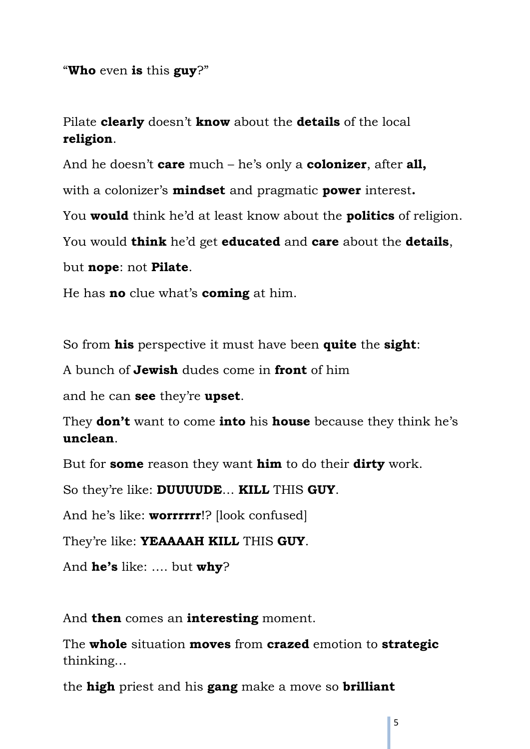"**Who** even **is** this **guy**?"

Pilate **clearly** doesn't **know** about the **details** of the local **religion**.

And he doesn't **care** much – he's only a **colonizer**, after **all,** 

with a colonizer's **mindset** and pragmatic **power** interest**.**

You **would** think he'd at least know about the **politics** of religion.

You would **think** he'd get **educated** and **care** about the **details**,

but **nope**: not **Pilate**.

He has **no** clue what's **coming** at him.

So from **his** perspective it must have been **quite** the **sight**:

A bunch of **Jewish** dudes come in **front** of him

and he can **see** they're **upset**.

They **don't** want to come **into** his **house** because they think he's **unclean**.

But for **some** reason they want **him** to do their **dirty** work.

So they're like: **DUUUUDE**… **KILL** THIS **GUY**.

And he's like: **worrrrrr**!? [look confused]

They're like: **YEAAAAH KILL** THIS **GUY**.

And **he's** like: …. but **why**?

And **then** comes an **interesting** moment.

The **whole** situation **moves** from **crazed** emotion to **strategic** thinking…

the **high** priest and his **gang** make a move so **brilliant**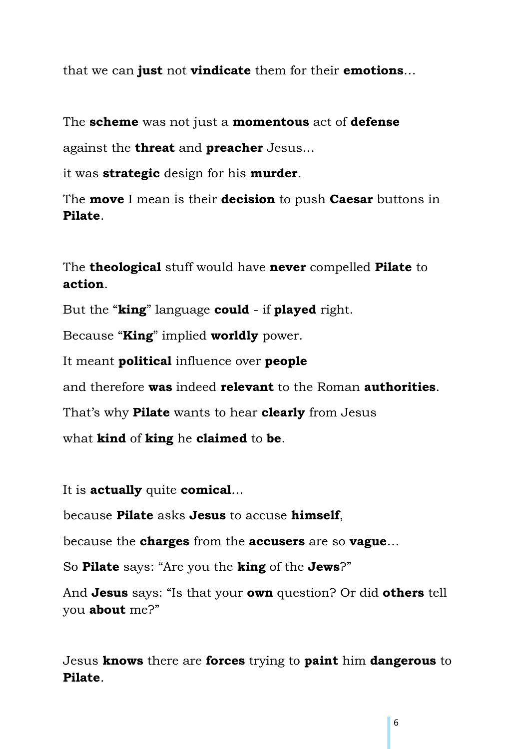that we can **just** not **vindicate** them for their **emotions**…

The **scheme** was not just a **momentous** act of **defense**

against the **threat** and **preacher** Jesus…

it was **strategic** design for his **murder**.

The **move** I mean is their **decision** to push **Caesar** buttons in **Pilate**.

The **theological** stuff would have **never** compelled **Pilate** to **action**.

But the "**king**" language **could** - if **played** right.

Because "**King**" implied **worldly** power.

It meant **political** influence over **people**

and therefore **was** indeed **relevant** to the Roman **authorities**.

That's why **Pilate** wants to hear **clearly** from Jesus

what **kind** of **king** he **claimed** to **be**.

It is **actually** quite **comical**…

because **Pilate** asks **Jesus** to accuse **himself**,

because the **charges** from the **accusers** are so **vague**…

So **Pilate** says: "Are you the **king** of the **Jews**?"

And **Jesus** says: "Is that your **own** question? Or did **others** tell you **about** me?"

Jesus **knows** there are **forces** trying to **paint** him **dangerous** to **Pilate**.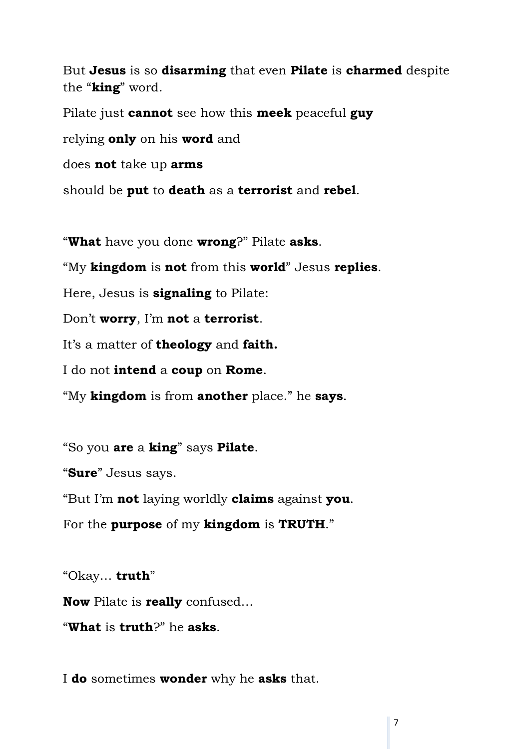But **Jesus** is so **disarming** that even **Pilate** is **charmed** despite the "**king**" word.

Pilate just **cannot** see how this **meek** peaceful **guy** relying **only** on his **word** and does **not** take up **arms** should be **put** to **death** as a **terrorist** and **rebel**.

"**What** have you done **wrong**?" Pilate **asks**.

"My **kingdom** is **not** from this **world**" Jesus **replies**.

Here, Jesus is **signaling** to Pilate:

Don't **worry**, I'm **not** a **terrorist**.

It's a matter of **theology** and **faith.**

I do not **intend** a **coup** on **Rome**.

"My **kingdom** is from **another** place." he **says**.

"So you **are** a **king**" says **Pilate**.

"**Sure**" Jesus says.

"But I'm **not** laying worldly **claims** against **you**.

For the **purpose** of my **kingdom** is **TRUTH**."

"Okay… **truth**"

**Now** Pilate is **really** confused…

"**What** is **truth**?" he **asks**.

I **do** sometimes **wonder** why he **asks** that.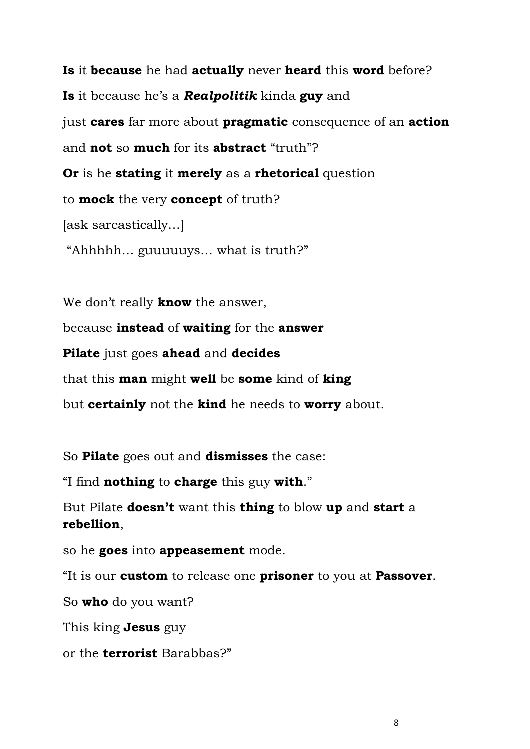**Is** it **because** he had **actually** never **heard** this **word** before? **Is** it because he's a *Realpolitik* kinda **guy** and just **cares** far more about **pragmatic** consequence of an **action** and **not** so **much** for its **abstract** "truth"? **Or** is he **stating** it **merely** as a **rhetorical** question to **mock** the very **concept** of truth? [ask sarcastically…] "Ahhhhh… guuuuuys… what is truth?"

We don't really **know** the answer,

because **instead** of **waiting** for the **answer**

**Pilate** just goes **ahead** and **decides**

that this **man** might **well** be **some** kind of **king**

but **certainly** not the **kind** he needs to **worry** about.

So **Pilate** goes out and **dismisses** the case:

"I find **nothing** to **charge** this guy **with**."

But Pilate **doesn't** want this **thing** to blow **up** and **start** a **rebellion**,

so he **goes** into **appeasement** mode.

"It is our **custom** to release one **prisoner** to you at **Passover**.

So **who** do you want?

This king **Jesus** guy

or the **terrorist** Barabbas?"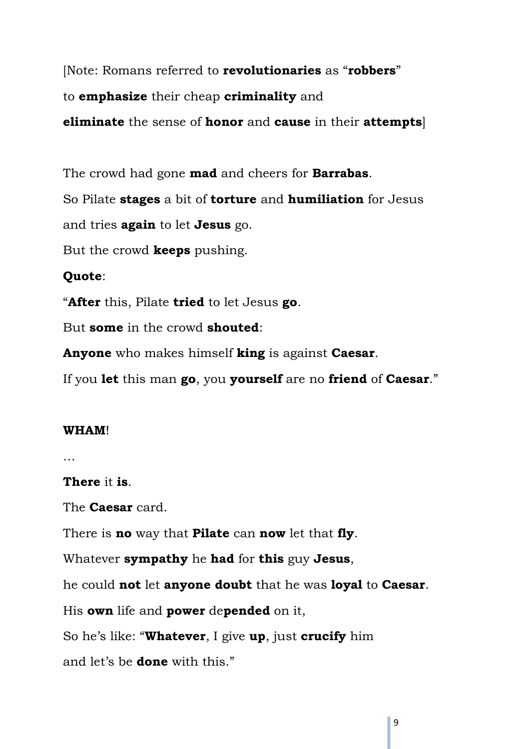[Note: Romans referred to **revolutionaries** as "**robbers**" to **emphasize** their cheap **criminality** and **eliminate** the sense of **honor** and **cause** in their **attempts**]

The crowd had gone **mad** and cheers for **Barrabas**. So Pilate **stages** a bit of **torture** and **humiliation** for Jesus and tries **again** to let **Jesus** go. But the crowd **keeps** pushing. **Quote**:

"**After** this, Pilate **tried** to let Jesus **go**.

But **some** in the crowd **shouted**:

**Anyone** who makes himself **king** is against **Caesar**.

If you **let** this man **go**, you **yourself** are no **friend** of **Caesar**."

### **WHAM**!

…

## **There** it **is**.

The **Caesar** card.

There is **no** way that **Pilate** can **now** let that **fly**.

Whatever **sympathy** he **had** for **this** guy **Jesus**,

he could **not** let **anyone doubt** that he was **loyal** to **Caesar**.

His **own** life and **power** de**pended** on it,

So he's like: "**Whatever**, I give **up**, just **crucify** him

and let's be **done** with this."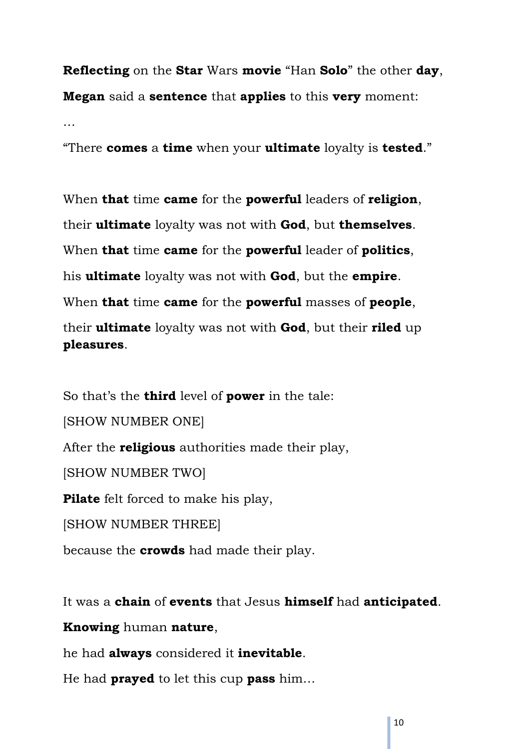**Reflecting** on the **Star** Wars **movie** "Han **Solo**" the other **day**, **Megan** said a **sentence** that **applies** to this **very** moment:

…

"There **comes** a **time** when your **ultimate** loyalty is **tested**."

When **that** time **came** for the **powerful** leaders of **religion**, their **ultimate** loyalty was not with **God**, but **themselves**. When **that** time **came** for the **powerful** leader of **politics**, his **ultimate** loyalty was not with **God**, but the **empire**. When **that** time **came** for the **powerful** masses of **people**, their **ultimate** loyalty was not with **God**, but their **riled** up **pleasures**.

So that's the **third** level of **power** in the tale:

[SHOW NUMBER ONE]

After the **religious** authorities made their play,

[SHOW NUMBER TWO]

**Pilate** felt forced to make his play,

[SHOW NUMBER THREE]

because the **crowds** had made their play.

It was a **chain** of **events** that Jesus **himself** had **anticipated**.

**Knowing** human **nature**,

he had **always** considered it **inevitable**.

He had **prayed** to let this cup **pass** him…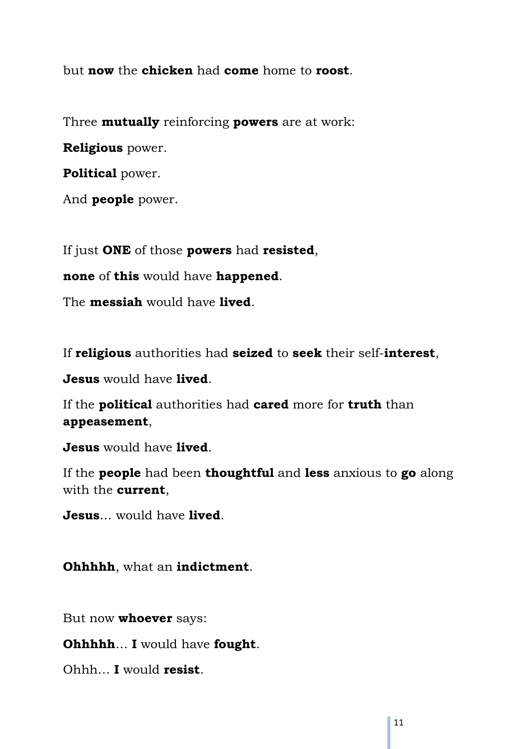but **now** the **chicken** had **come** home to **roost**.

Three **mutually** reinforcing **powers** are at work:

**Religious** power.

**Political** power.

And **people** power.

If just **ONE** of those **powers** had **resisted**,

**none** of **this** would have **happened**.

The **messiah** would have **lived**.

If **religious** authorities had **seized** to **seek** their self-**interest**,

**Jesus** would have **lived**.

If the **political** authorities had **cared** more for **truth** than **appeasement**,

**Jesus** would have **lived**.

If the **people** had been **thoughtful** and **less** anxious to **go** along with the **current**,

**Jesus**… would have **lived**.

**Ohhhhh**, what an **indictment**.

But now **whoever** says:

**Ohhhhh**… **I** would have **fought**.

Ohhh… **I** would **resist**.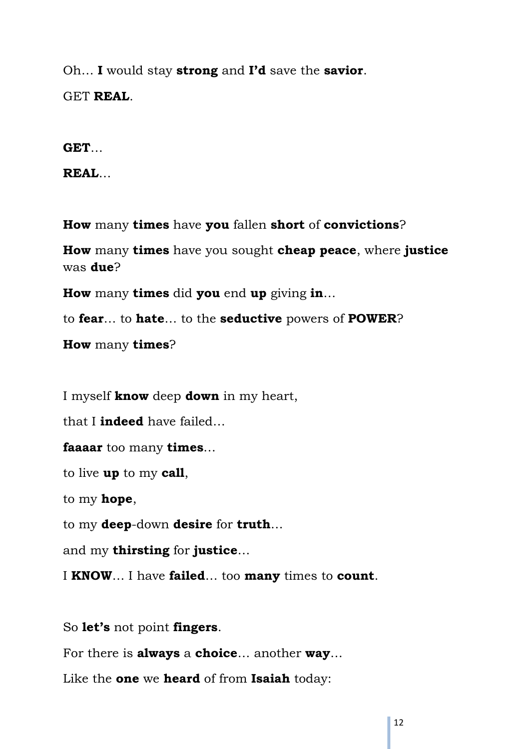Oh… **I** would stay **strong** and **I'd** save the **savior**. GET **REAL**.

**GET**…

**REAL**…

**How** many **times** have **you** fallen **short** of **convictions**?

**How** many **times** have you sought **cheap peace**, where **justice** was **due**?

**How** many **times** did **you** end **up** giving **in**…

to **fear**… to **hate**… to the **seductive** powers of **POWER**?

**How** many **times**?

I myself **know** deep **down** in my heart,

that I **indeed** have failed…

**faaaar** too many **times**…

to live **up** to my **call**,

to my **hope**,

to my **deep**-down **desire** for **truth**…

and my **thirsting** for **justice**…

I **KNOW**… I have **failed**… too **many** times to **count**.

So **let's** not point **fingers**.

For there is **always** a **choice**… another **way**…

Like the **one** we **heard** of from **Isaiah** today: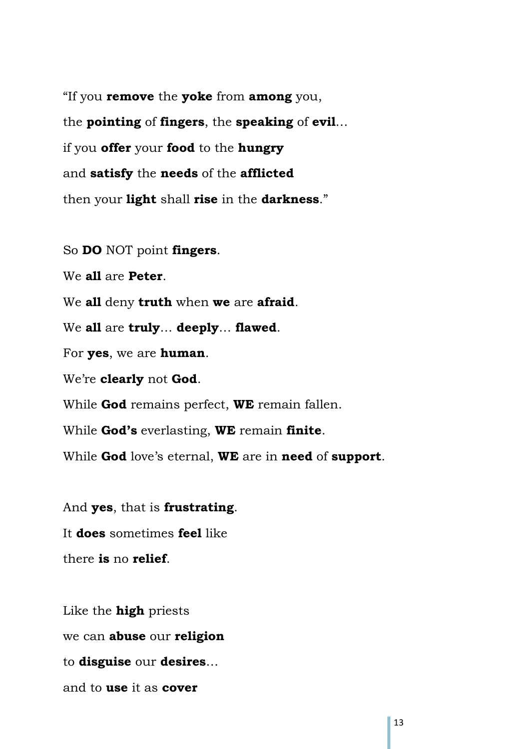"If you **remove** the **yoke** from **among** you, the **pointing** of **fingers**, the **speaking** of **evil**… if you **offer** your **food** to the **hungry** and **satisfy** the **needs** of the **afflicted** then your **light** shall **rise** in the **darkness**."

So **DO** NOT point **fingers**.

We **all** are **Peter**.

We **all** deny **truth** when **we** are **afraid**.

We **all** are **truly**… **deeply**… **flawed**.

For **yes**, we are **human**.

We're **clearly** not **God**.

While **God** remains perfect, **WE** remain fallen.

While **God's** everlasting, **WE** remain **finite**.

While **God** love's eternal, **WE** are in **need** of **support**.

And **yes**, that is **frustrating**. It **does** sometimes **feel** like there **is** no **relief**.

Like the **high** priests we can **abuse** our **religion** to **disguise** our **desires**… and to **use** it as **cover**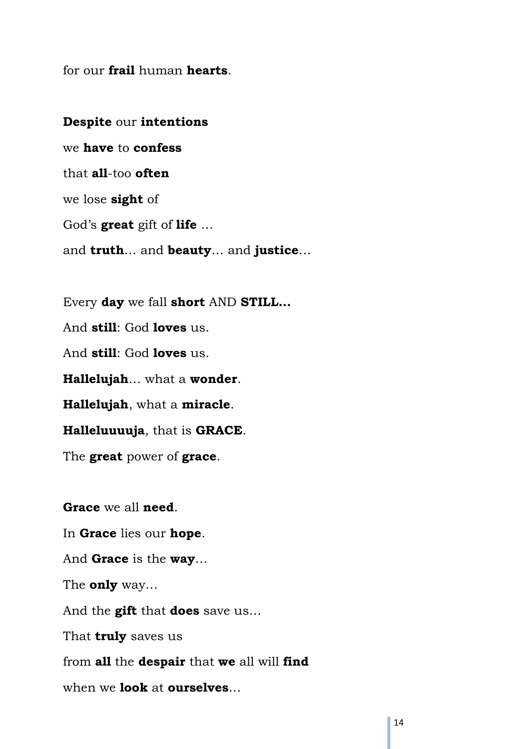for our **frail** human **hearts**.

**Despite** our **intentions** we **have** to **confess** that **all**-too **often** we lose **sight** of God's **great** gift of **life** … and **truth**… and **beauty**… and **justice**…

Every **day** we fall **short** AND **STILL…** And **still**: God **loves** us. And **still**: God **loves** us. **Hallelujah**… what a **wonder**. **Hallelujah**, what a **miracle**. **Halleluuuuja**, that is **GRACE**. The **great** power of **grace**.

**Grace** we all **need**. In **Grace** lies our **hope**. And **Grace** is the **way**… The **only** way… And the **gift** that **does** save us… That **truly** saves us from **all** the **despair** that **we** all will **find** when we **look** at **ourselves**…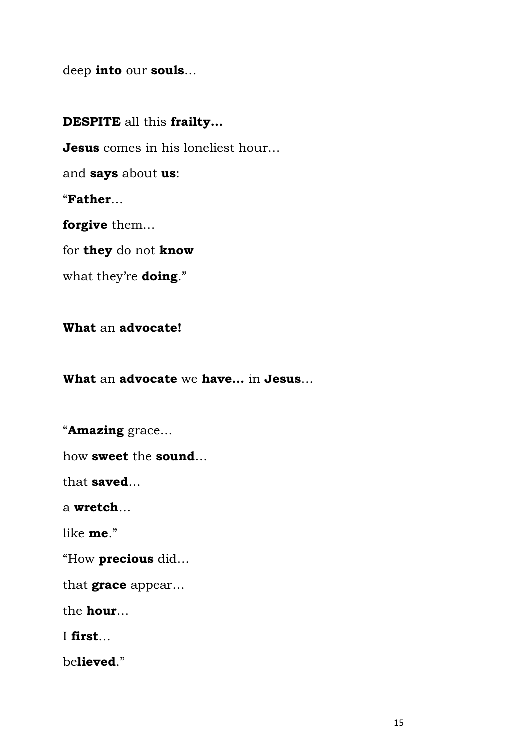deep **into** our **souls**…

**DESPITE** all this **frailty… Jesus** comes in his loneliest hour… and **says** about **us**: "**Father**… **forgive** them… for **they** do not **know** what they're **doing**."

**What** an **advocate!**

**What** an **advocate** we **have…** in **Jesus**…

"**Amazing** grace…

how **sweet** the **sound**…

that **saved**…

a **wretch**…

like **me**."

"How **precious** did…

that **grace** appear…

the **hour**…

I **first**…

be**lieved**."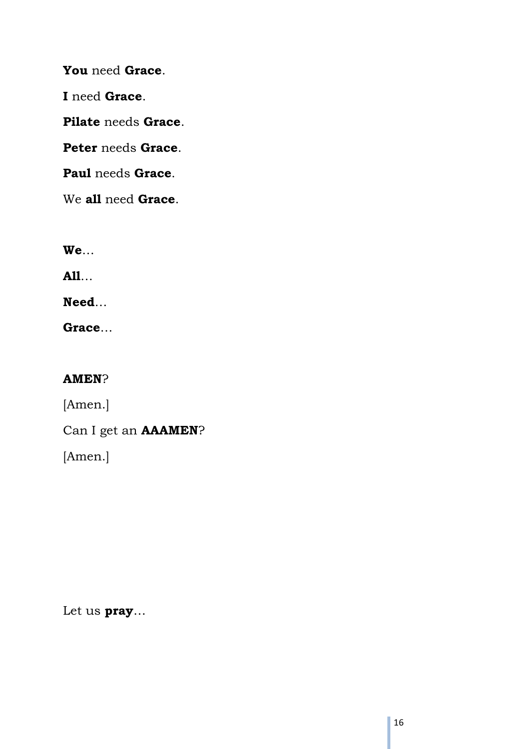**You** need **Grace**. **I** need **Grace**. **Pilate** needs **Grace**. **Peter** needs **Grace**. **Paul** needs **Grace**.

We **all** need **Grace**.

**We**…

**All**…

**Need**…

**Grace**…

# **AMEN**?

[Amen.]

Can I get an **AAAMEN**?

[Amen.]

Let us **pray**…